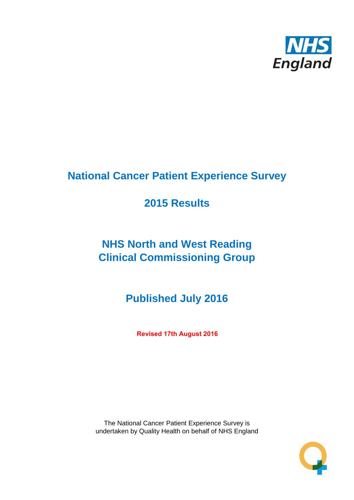

# **National Cancer Patient Experience Survey**

# **2015 Results**

# **NHS North and West Reading Clinical Commissioning Group**

**Published July 2016**

**Revised 17th August 2016**

The National Cancer Patient Experience Survey is undertaken by Quality Health on behalf of NHS England

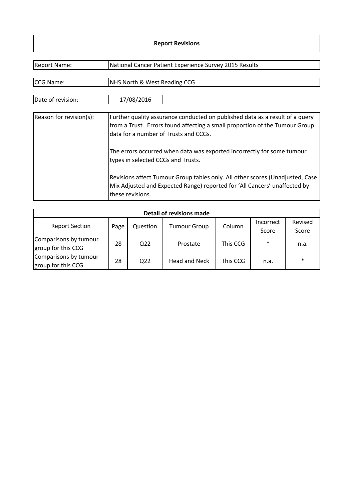### **Report Revisions**

| <b>Report Name:</b>     | National Cancer Patient Experience Survey 2015 Results                                                                                                                                               |
|-------------------------|------------------------------------------------------------------------------------------------------------------------------------------------------------------------------------------------------|
|                         |                                                                                                                                                                                                      |
| CCG Name:               | NHS North & West Reading CCG                                                                                                                                                                         |
| Date of revision:       | 17/08/2016                                                                                                                                                                                           |
| Reason for revision(s): | Further quality assurance conducted on published data as a result of a query<br>from a Trust. Errors found affecting a small proportion of the Tumour Group<br>data for a number of Trusts and CCGs. |
|                         | The errors occurred when data was exported incorrectly for some tumour<br>types in selected CCGs and Trusts.                                                                                         |
|                         | Revisions affect Tumour Group tables only. All other scores (Unadjusted, Case<br>Mix Adjusted and Expected Range) reported for 'All Cancers' unaffected by<br>these revisions.                       |

| Detail of revisions made                    |      |                 |                      |          |                    |                  |  |  |  |
|---------------------------------------------|------|-----------------|----------------------|----------|--------------------|------------------|--|--|--|
| <b>Report Section</b>                       | Page | Question        | <b>Tumour Group</b>  | Column   | Incorrect<br>Score | Revised<br>Score |  |  |  |
| Comparisons by tumour<br>group for this CCG | 28   | Q <sub>22</sub> | Prostate             | This CCG | $\ast$             | n.a.             |  |  |  |
| Comparisons by tumour<br>group for this CCG | 28   | Q22             | <b>Head and Neck</b> | This CCG | n.a.               | $\ast$           |  |  |  |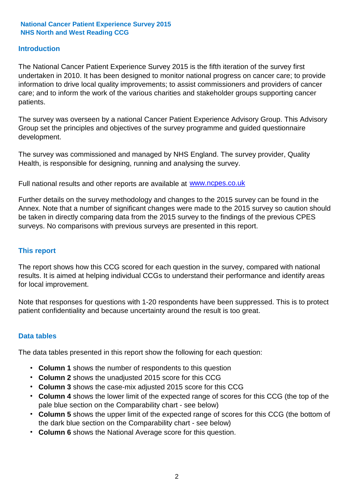### **Introduction**

The National Cancer Patient Experience Survey 2015 is the fifth iteration of the survey first undertaken in 2010. It has been designed to monitor national progress on cancer care; to provide information to drive local quality improvements; to assist commissioners and providers of cancer care; and to inform the work of the various charities and stakeholder groups supporting cancer patients.

The survey was overseen by a national Cancer Patient Experience Advisory Group. This Advisory Group set the principles and objectives of the survey programme and guided questionnaire development.

The survey was commissioned and managed by NHS England. The survey provider, Quality Health, is responsible for designing, running and analysing the survey.

Full national results and other reports are available at www.ncpes.co.uk

Further details on the survey methodology and changes to the 2015 survey can be found in the Annex. Note that a number of significant changes were made to the 2015 survey so caution should be taken in directly comparing data from the 2015 survey to the findings of the previous CPES surveys. No comparisons with previous surveys are presented in this report.

#### **This report**

The report shows how this CCG scored for each question in the survey, compared with national results. It is aimed at helping individual CCGs to understand their performance and identify areas for local improvement.

Note that responses for questions with 1-20 respondents have been suppressed. This is to protect patient confidentiality and because uncertainty around the result is too great.

#### **Data tables**

The data tables presented in this report show the following for each question:

- **Column 1** shows the number of respondents to this question
- **Column 2** shows the unadjusted 2015 score for this CCG
- **Column 3** shows the case-mix adjusted 2015 score for this CCG
- **Column 4** shows the lower limit of the expected range of scores for this CCG (the top of the pale blue section on the Comparability chart - see below)
- **Column 5** shows the upper limit of the expected range of scores for this CCG (the bottom of the dark blue section on the Comparability chart - see below)
- **Column 6** shows the National Average score for this question.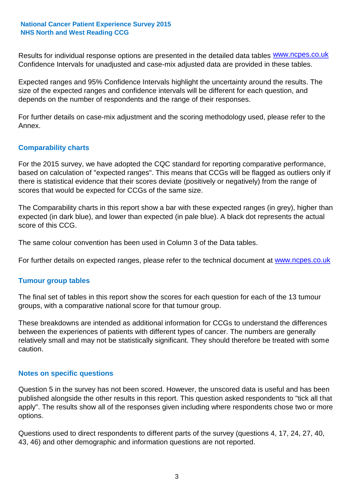Results for individual response options are presented in the detailed data tables **WWW.ncpes.co.uk** Confidence Intervals for unadjusted and case-mix adjusted data are provided in these tables.

Expected ranges and 95% Confidence Intervals highlight the uncertainty around the results. The size of the expected ranges and confidence intervals will be different for each question, and depends on the number of respondents and the range of their responses.

For further details on case-mix adjustment and the scoring methodology used, please refer to the Annex.

### **Comparability charts**

For the 2015 survey, we have adopted the CQC standard for reporting comparative performance, based on calculation of "expected ranges". This means that CCGs will be flagged as outliers only if there is statistical evidence that their scores deviate (positively or negatively) from the range of scores that would be expected for CCGs of the same size.

The Comparability charts in this report show a bar with these expected ranges (in grey), higher than expected (in dark blue), and lower than expected (in pale blue). A black dot represents the actual score of this CCG.

The same colour convention has been used in Column 3 of the Data tables.

For further details on expected ranges, please refer to the technical document at **www.ncpes.co.uk** 

#### **Tumour group tables**

The final set of tables in this report show the scores for each question for each of the 13 tumour groups, with a comparative national score for that tumour group.

These breakdowns are intended as additional information for CCGs to understand the differences between the experiences of patients with different types of cancer. The numbers are generally relatively small and may not be statistically significant. They should therefore be treated with some caution.

#### **Notes on specific questions**

Question 5 in the survey has not been scored. However, the unscored data is useful and has been published alongside the other results in this report. This question asked respondents to "tick all that apply". The results show all of the responses given including where respondents chose two or more options.

Questions used to direct respondents to different parts of the survey (questions 4, 17, 24, 27, 40, 43, 46) and other demographic and information questions are not reported.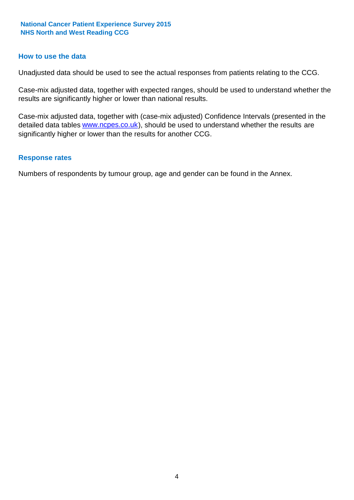#### **How to use the data**

Unadjusted data should be used to see the actual responses from patients relating to the CCG.

Case-mix adjusted data, together with expected ranges, should be used to understand whether the results are significantly higher or lower than national results.

Case-mix adjusted data, together with (case-mix adjusted) Confidence Intervals (presented in the detailed data tables **www.ncpes.co.uk**), should be used to understand whether the results are significantly higher or lower than the results for another CCG.

#### **Response rates**

Numbers of respondents by tumour group, age and gender can be found in the Annex.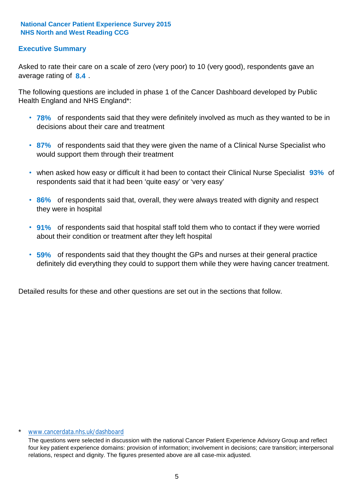# **Executive Summary**

average rating of 8.4. Asked to rate their care on a scale of zero (very poor) to 10 (very good), respondents gave an

The following questions are included in phase 1 of the Cancer Dashboard developed by Public Health England and NHS England\*:

- **78%** of respondents said that they were definitely involved as much as they wanted to be in decisions about their care and treatment
- **87%** of respondents said that they were given the name of a Clinical Nurse Specialist who would support them through their treatment
- when asked how easy or difficult it had been to contact their Clinical Nurse Specialist 93% of respondents said that it had been 'quite easy' or 'very easy'
- **86%** of respondents said that, overall, they were always treated with dignity and respect they were in hospital
- **91%** of respondents said that hospital staff told them who to contact if they were worried about their condition or treatment after they left hospital
- **59%** of respondents said that they thought the GPs and nurses at their general practice definitely did everything they could to support them while they were having cancer treatment.

Detailed results for these and other questions are set out in the sections that follow.

#### www.cancerdata.nhs.uk/dashboard

The questions were selected in discussion with the national Cancer Patient Experience Advisory Group and reflect four key patient experience domains: provision of information; involvement in decisions; care transition; interpersonal relations, respect and dignity. The figures presented above are all case-mix adjusted.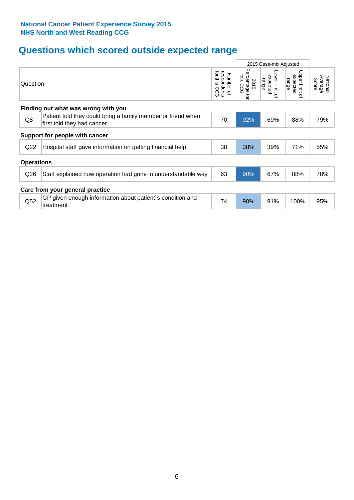# **Questions which scored outside expected range**

|                                 |                                                                                            |    | 2015 Case-mix Adjusted |                                                    |                                       |                              |  |  |  |  |  |
|---------------------------------|--------------------------------------------------------------------------------------------|----|------------------------|----------------------------------------------------|---------------------------------------|------------------------------|--|--|--|--|--|
|                                 | Question                                                                                   |    |                        | Lower limit<br>expected<br>range<br>$\overline{a}$ | Upper limit<br>expected<br>range<br>₽ | Average<br>National<br>Score |  |  |  |  |  |
|                                 | Finding out what was wrong with you                                                        |    |                        |                                                    |                                       |                              |  |  |  |  |  |
| Q8                              | Patient told they could bring a family member or friend when<br>first told they had cancer | 70 | 92%                    | 69%                                                | 88%                                   | 79%                          |  |  |  |  |  |
|                                 | Support for people with cancer                                                             |    |                        |                                                    |                                       |                              |  |  |  |  |  |
| Q22                             | Hospital staff gave information on getting financial help                                  | 38 | 38%                    | 39%                                                | 71%                                   | 55%                          |  |  |  |  |  |
| <b>Operations</b>               |                                                                                            |    |                        |                                                    |                                       |                              |  |  |  |  |  |
| Q26                             | Staff explained how operation had gone in understandable way                               | 63 | 90%                    | 67%                                                | 88%                                   | 78%                          |  |  |  |  |  |
| Care from your general practice |                                                                                            |    |                        |                                                    |                                       |                              |  |  |  |  |  |
| Q52                             | GP given enough information about patient's condition and<br>treatment                     | 74 | 90%                    | 91%                                                | 100%                                  | 95%                          |  |  |  |  |  |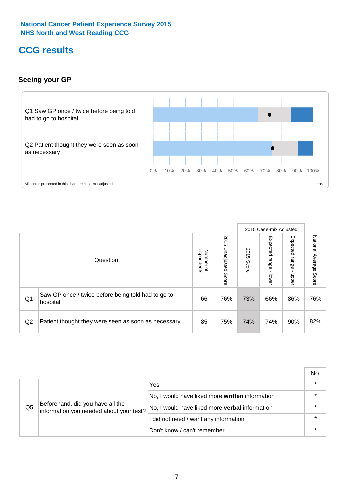# **CCG results**

# **Seeing your GP**



|    |                                                                |                                              |                             |               | 2015 Case-mix Adjusted     |                            |                           |
|----|----------------------------------------------------------------|----------------------------------------------|-----------------------------|---------------|----------------------------|----------------------------|---------------------------|
|    | Question                                                       | respondents<br>Number<br>$\overline{\sigma}$ | 2015<br>Unadjusted<br>Score | 2015<br>Score | Expected<br>range<br>lower | Expected<br>range<br>nbber | National Average<br>Score |
| Q1 | Saw GP once / twice before being told had to go to<br>hospital | 66                                           | 76%                         | 73%           | 66%                        | 86%                        | 76%                       |
| Q2 | Patient thought they were seen as soon as necessary            | 85                                           | 75%                         | 74%           | 74%                        | 90%                        | 82%                       |

|    |                                                                             |                                                 | No. |
|----|-----------------------------------------------------------------------------|-------------------------------------------------|-----|
|    |                                                                             | Yes                                             |     |
| Q5 | Beforehand, did you have all the<br>information you needed about your test? | No, I would have liked more written information |     |
|    |                                                                             | No, I would have liked more verbal information  |     |
|    |                                                                             | I did not need / want any information           |     |
|    |                                                                             | Don't know / can't remember                     |     |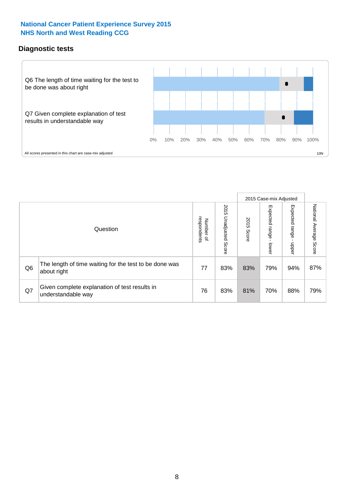# **Diagnostic tests**



|                |                                                                       |                          |                             |               | 2015 Case-mix Adjusted  |                         |                           |
|----------------|-----------------------------------------------------------------------|--------------------------|-----------------------------|---------------|-------------------------|-------------------------|---------------------------|
|                | Question                                                              | Number of<br>respondents | 2015<br>Unadjusted<br>Score | 2015<br>Score | Expected range<br>lower | Expected range<br>nbber | National Average<br>Score |
| Q <sub>6</sub> | The length of time waiting for the test to be done was<br>about right | 77                       | 83%                         | 83%           | 79%                     | 94%                     | 87%                       |
| Q7             | Given complete explanation of test results in<br>understandable way   | 76                       | 83%                         | 81%           | 70%                     | 88%                     | 79%                       |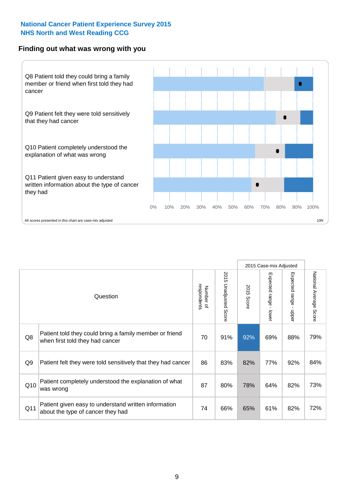#### **Finding out what was wrong with you**



|                |                                                                                            |                          |                             |                      | 2015 Case-mix Adjusted                    |                           |                        |
|----------------|--------------------------------------------------------------------------------------------|--------------------------|-----------------------------|----------------------|-------------------------------------------|---------------------------|------------------------|
|                | Question                                                                                   | respondents<br>Number of | 2015<br>Unadjusted<br>Score | 2015<br><b>Score</b> | Expected range<br>$\blacksquare$<br>lower | Expected range<br>- nbber | National Average Score |
| Q8             | Patient told they could bring a family member or friend<br>when first told they had cancer | 70                       | 91%                         | 92%                  | 69%                                       | 88%                       | 79%                    |
| Q <sub>9</sub> | Patient felt they were told sensitively that they had cancer                               | 86                       | 83%                         | 82%                  | 77%                                       | 92%                       | 84%                    |
| Q10            | Patient completely understood the explanation of what<br>was wrong                         | 87                       | 80%                         | 78%                  | 64%                                       | 82%                       | 73%                    |
| Q11            | Patient given easy to understand written information<br>about the type of cancer they had  | 74                       | 66%                         | 65%                  | 61%                                       | 82%                       | 72%                    |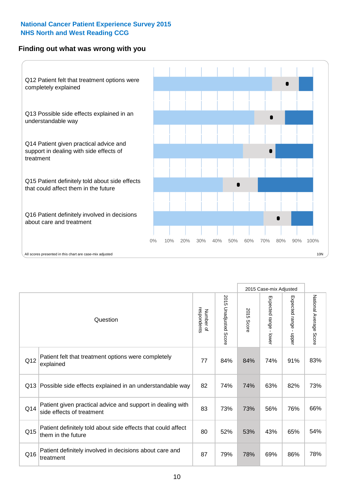## **Finding out what was wrong with you**



|          |                                                                                         |                          |                                 |               | 2015 Case-mix Adjusted                  |                           |                        |
|----------|-----------------------------------------------------------------------------------------|--------------------------|---------------------------------|---------------|-----------------------------------------|---------------------------|------------------------|
| Question |                                                                                         | Number of<br>respondents | 2015<br><b>Unadjusted Score</b> | 2015<br>Score | Expected range<br>$\mathbf{r}$<br>lower | Expected range<br>- nbbeu | National Average Score |
| Q12      | Patient felt that treatment options were completely<br>explained                        | 77                       | 84%                             | 84%           | 74%                                     | 91%                       | 83%                    |
| Q13      | Possible side effects explained in an understandable way                                | 82                       | 74%                             | 74%           | 63%                                     | 82%                       | 73%                    |
| Q14      | Patient given practical advice and support in dealing with<br>side effects of treatment | 83                       | 73%                             | 73%           | 56%                                     | 76%                       | 66%                    |
| Q15      | Patient definitely told about side effects that could affect<br>them in the future      | 80                       | 52%                             | 53%           | 43%                                     | 65%                       | 54%                    |
| Q16      | Patient definitely involved in decisions about care and<br>treatment                    | 87                       | 79%                             | 78%           | 69%                                     | 86%                       | 78%                    |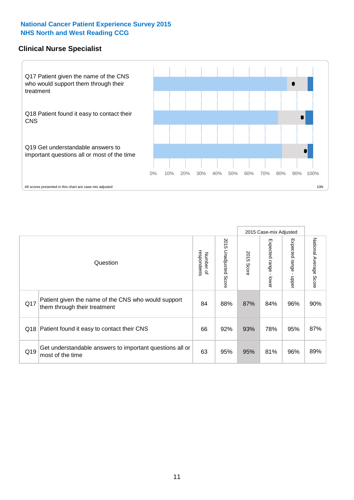## **Clinical Nurse Specialist**



|     |                                                                                     |                          |                       |               | 2015 Case-mix Adjusted  |                         |                        |
|-----|-------------------------------------------------------------------------------------|--------------------------|-----------------------|---------------|-------------------------|-------------------------|------------------------|
|     | Question                                                                            | respondents<br>Number of | 2015 Unadjusted Score | 2015<br>Score | Expected range<br>lower | Expected range<br>nbber | National Average Score |
| Q17 | Patient given the name of the CNS who would support<br>them through their treatment | 84                       | 88%                   | 87%           | 84%                     | 96%                     | 90%                    |
| Q18 | Patient found it easy to contact their CNS                                          | 66                       | 92%                   | 93%           | 78%                     | 95%                     | 87%                    |
| Q19 | Get understandable answers to important questions all or<br>most of the time        | 63                       | 95%                   | 95%           | 81%                     | 96%                     | 89%                    |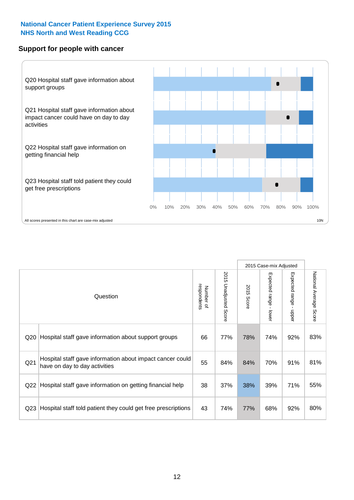### **Support for people with cancer**



|                 |                                                                                            |                          |                                 |               | 2015 Case-mix Adjusted  |                                         |                        |  |
|-----------------|--------------------------------------------------------------------------------------------|--------------------------|---------------------------------|---------------|-------------------------|-----------------------------------------|------------------------|--|
|                 | Question                                                                                   | respondents<br>Number of | 2015<br><b>Unadjusted Score</b> | 2015<br>Score | Expected range<br>lower | Expected range<br>$\mathbf{I}$<br>nbber | National Average Score |  |
| Q20             | Hospital staff gave information about support groups                                       | 66                       | 77%                             | 78%           | 74%                     | 92%                                     | 83%                    |  |
| Q <sub>21</sub> | Hospital staff gave information about impact cancer could<br>have on day to day activities | 55                       | 84%                             | 84%           | 70%                     | 91%                                     | 81%                    |  |
| Q22             | Hospital staff gave information on getting financial help                                  | 38                       | 37%                             | 38%           | 39%                     | 71%                                     | 55%                    |  |
| Q <sub>23</sub> | Hospital staff told patient they could get free prescriptions                              | 43                       | 74%                             | 77%           | 68%                     | 92%                                     | 80%                    |  |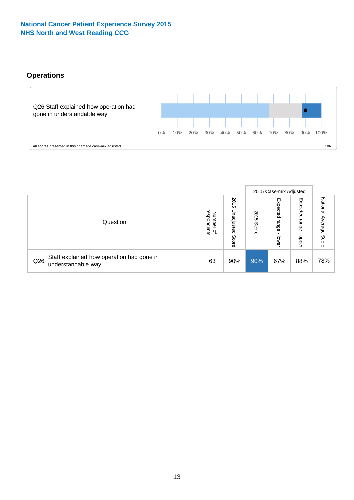# **Operations**



|     |                                                                 |                                              |                             |               | 2015 Case-mix Adjusted     |                           |                              |
|-----|-----------------------------------------------------------------|----------------------------------------------|-----------------------------|---------------|----------------------------|---------------------------|------------------------------|
|     | Question                                                        | respondents<br>Number<br>$\overline{\sigma}$ | 2015<br>Unadjusted<br>Score | 2015<br>Score | Expected<br>range<br>lower | Expected<br>range<br>dddn | National<br>Average<br>Score |
| Q26 | Staff explained how operation had gone in<br>understandable way | 63                                           | 90%                         | 90%           | 67%                        | 88%                       | 78%                          |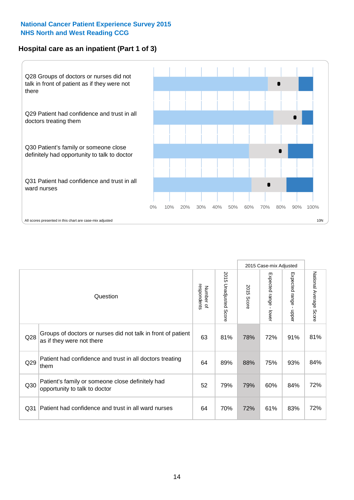# **Hospital care as an inpatient (Part 1 of 3)**



All scores presented in this chart are case-mix adjusted  $10N$ 

|                 |                                                                                           |                          |                          |               | 2015 Case-mix Adjusted                    |                                           |                        |
|-----------------|-------------------------------------------------------------------------------------------|--------------------------|--------------------------|---------------|-------------------------------------------|-------------------------------------------|------------------------|
|                 | Question                                                                                  | respondents<br>Number of | 2015<br>Unadjusted Score | 2015<br>Score | Expected range<br>$\blacksquare$<br>lower | Expected range<br>$\blacksquare$<br>nbber | National Average Score |
| Q28             | Groups of doctors or nurses did not talk in front of patient<br>as if they were not there | 63                       | 81%                      | 78%           | 72%                                       | 91%                                       | 81%                    |
| Q29             | Patient had confidence and trust in all doctors treating<br>them                          | 64                       | 89%                      | 88%           | 75%                                       | 93%                                       | 84%                    |
| Q30             | Patient's family or someone close definitely had<br>opportunity to talk to doctor         | 52                       | 79%                      | 79%           | 60%                                       | 84%                                       | 72%                    |
| Q <sub>31</sub> | Patient had confidence and trust in all ward nurses                                       | 64                       | 70%                      | 72%           | 61%                                       | 83%                                       | 72%                    |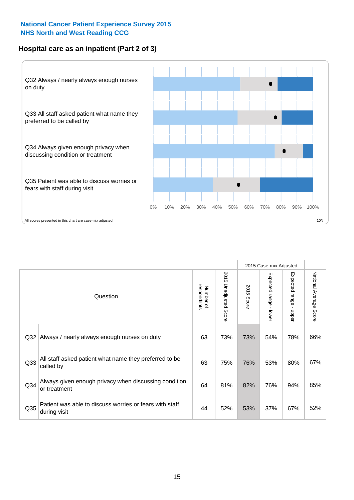# **Hospital care as an inpatient (Part 2 of 3)**



|                 |                                                                         |                          |                       |               | 2015 Case-mix Adjusted |                        |                           |
|-----------------|-------------------------------------------------------------------------|--------------------------|-----------------------|---------------|------------------------|------------------------|---------------------------|
|                 | Question                                                                | respondents<br>Number of | 2015 Unadjusted Score | 2015<br>Score | Expected range - lower | Expected range - upper | National Average<br>Score |
| Q <sub>32</sub> | Always / nearly always enough nurses on duty                            | 63                       | 73%                   | 73%           | 54%                    | 78%                    | 66%                       |
| Q33             | All staff asked patient what name they preferred to be<br>called by     | 63                       | 75%                   | 76%           | 53%                    | 80%                    | 67%                       |
| Q34             | Always given enough privacy when discussing condition<br>or treatment   | 64                       | 81%                   | 82%           | 76%                    | 94%                    | 85%                       |
| Q <sub>35</sub> | Patient was able to discuss worries or fears with staff<br>during visit | 44                       | 52%                   | 53%           | 37%                    | 67%                    | 52%                       |
|                 |                                                                         |                          |                       |               |                        |                        |                           |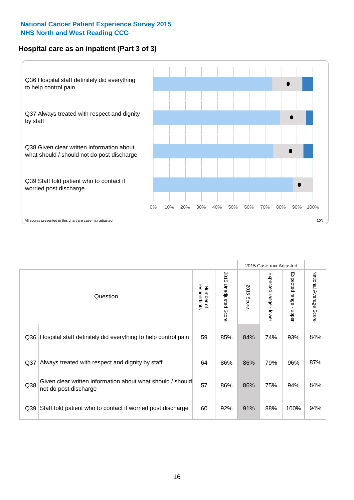# **Hospital care as an inpatient (Part 3 of 3)**



|     |                                                                                                          |    |     |                           | 2015 Case-mix Adjusted    |      |     |
|-----|----------------------------------------------------------------------------------------------------------|----|-----|---------------------------|---------------------------|------|-----|
|     | 2015 Unadjusted Score<br>Expected range - lower<br>respondents<br>2015<br>Number of<br>Question<br>Score |    |     | Expected range -<br>nbber | National Average<br>Score |      |     |
| Q36 | Hospital staff definitely did everything to help control pain                                            | 59 | 85% | 84%                       | 74%                       | 93%  | 84% |
| Q37 | Always treated with respect and dignity by staff                                                         | 64 | 86% | 86%                       | 79%                       | 96%  | 87% |
| Q38 | Given clear written information about what should / should<br>not do post discharge                      | 57 | 86% | 86%                       | 75%                       | 94%  | 84% |
| Q39 | Staff told patient who to contact if worried post discharge                                              | 60 | 92% | 91%                       | 88%                       | 100% | 94% |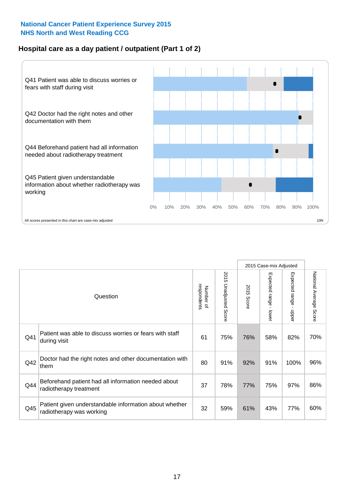# **Hospital care as a day patient / outpatient (Part 1 of 2)**



|     |                                                                                    |                          |                          | 2015 Case-mix Adjusted |                                         |                                           |                        |
|-----|------------------------------------------------------------------------------------|--------------------------|--------------------------|------------------------|-----------------------------------------|-------------------------------------------|------------------------|
|     | Question                                                                           | respondents<br>Number of | 2015<br>Unadjusted Score | 2015<br>Score          | Expected range<br>$\mathbf{I}$<br>lower | Expected range<br>$\blacksquare$<br>nbber | National Average Score |
| Q41 | Patient was able to discuss worries or fears with staff<br>during visit            | 61                       | 75%                      | 76%                    | 58%                                     | 82%                                       | 70%                    |
| Q42 | Doctor had the right notes and other documentation with<br>them                    |                          | 91%                      | 92%                    | 91%                                     | 100%                                      | 96%                    |
| Q44 | Beforehand patient had all information needed about<br>radiotherapy treatment      | 37                       | 78%                      | 77%                    | 75%                                     | 97%                                       | 86%                    |
| Q45 | Patient given understandable information about whether<br>radiotherapy was working | 32                       | 59%                      | 61%                    | 43%                                     | 77%                                       | 60%                    |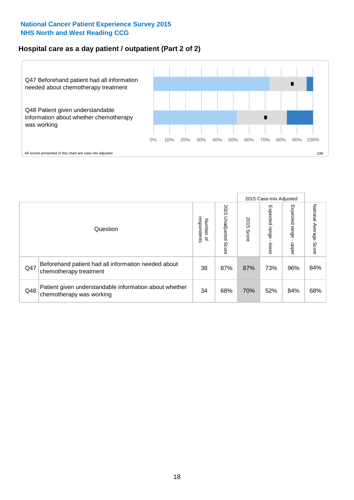# **Hospital care as a day patient / outpatient (Part 2 of 2)**



|          |                                                                                    |                                       |                             |               | 2015 Case-mix Adjusted       |                            |                           |
|----------|------------------------------------------------------------------------------------|---------------------------------------|-----------------------------|---------------|------------------------------|----------------------------|---------------------------|
| Question |                                                                                    | respondents<br>Number<br>$\mathbf{Q}$ | 2015<br>Unadjusted<br>Score | 2015<br>Score | Expected<br>I range<br>lower | Expected<br>range<br>doper | National Average<br>Score |
| Q47      | Beforehand patient had all information needed about<br>chemotherapy treatment      | 38                                    | 87%                         | 87%           | 73%                          | 96%                        | 84%                       |
| Q48      | Patient given understandable information about whether<br>chemotherapy was working | 34                                    | 68%                         | 70%           | 52%                          | 84%                        | 68%                       |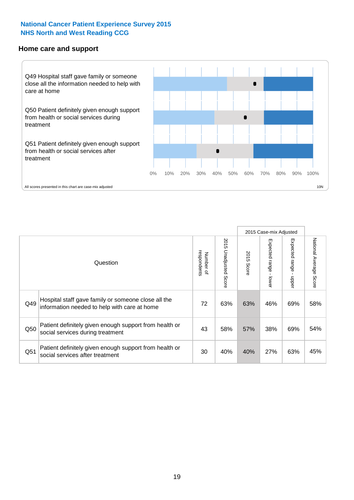#### **Home care and support**



All scores presented in this chart are case-mix adjusted

|                 |                                                                                                     |                          |                          | 2015 Case-mix Adjusted |                         |                        |                        |
|-----------------|-----------------------------------------------------------------------------------------------------|--------------------------|--------------------------|------------------------|-------------------------|------------------------|------------------------|
|                 | Question                                                                                            | respondents<br>Number of | 2015<br>Unadjusted Score | 2015<br>Score          | Expected range<br>lower | Expected range<br>mper | National Average Score |
| Q49             | Hospital staff gave family or someone close all the<br>information needed to help with care at home | 72                       | 63%                      | 63%                    | 46%                     | 69%                    | 58%                    |
| Q50             | Patient definitely given enough support from health or<br>social services during treatment          | 43                       | 58%                      | 57%                    | 38%                     | 69%                    | 54%                    |
| Q <sub>51</sub> | Patient definitely given enough support from health or<br>social services after treatment           | 30                       | 40%                      | 40%                    | 27%                     | 63%                    | 45%                    |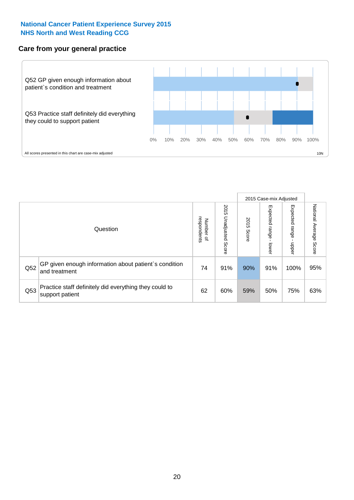#### **Care from your general practice**



|          |                                                                           |                          |                             | 2015 Case-mix Adjusted |                         |                         |                           |
|----------|---------------------------------------------------------------------------|--------------------------|-----------------------------|------------------------|-------------------------|-------------------------|---------------------------|
| Question |                                                                           | Number of<br>respondents | 2015<br>Unadjusted<br>Score | 2015<br>Score          | Expected range<br>lower | Expected range<br>nbber | National Average<br>Score |
| Q52      | GP given enough information about patient's condition<br>and treatment    | 74                       | 91%                         | 90%                    | 91%                     | 100%                    | 95%                       |
| Q53      | Practice staff definitely did everything they could to<br>support patient | 62                       | 60%                         | 59%                    | 50%                     | 75%                     | 63%                       |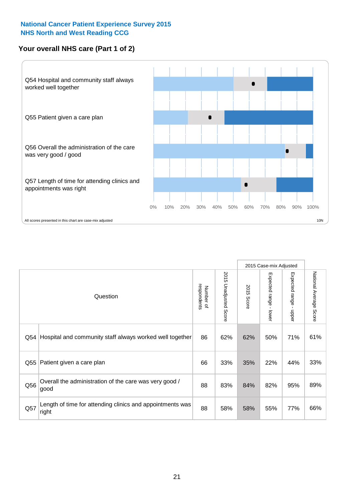## **Your overall NHS care (Part 1 of 2)**



|     |                                                                    |                          |                          |               | 2015 Case-mix Adjusted  |                                           |                        |
|-----|--------------------------------------------------------------------|--------------------------|--------------------------|---------------|-------------------------|-------------------------------------------|------------------------|
|     | Question                                                           | respondents<br>Number of | 2015<br>Unadjusted Score | 2015<br>Score | Expected range<br>lower | Expected range<br>$\blacksquare$<br>nbber | National Average Score |
| Q54 | Hospital and community staff always worked well together           | 86                       | 62%                      | 62%           | 50%                     | 71%                                       | 61%                    |
| Q55 | Patient given a care plan                                          |                          | 33%                      | 35%           | 22%                     | 44%                                       | 33%                    |
| Q56 | Overall the administration of the care was very good /<br>good     | 88                       | 83%                      | 84%           | 82%                     | 95%                                       | 89%                    |
| Q57 | Length of time for attending clinics and appointments was<br>right | 88                       | 58%                      | 58%           | 55%                     | 77%                                       | 66%                    |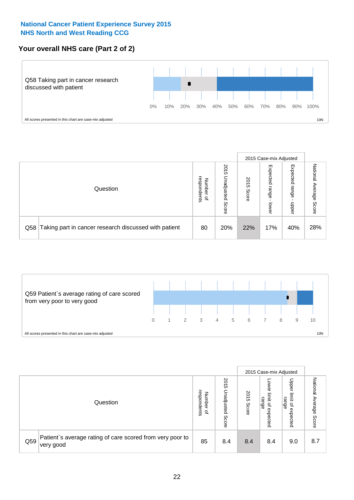# **Your overall NHS care (Part 2 of 2)**



|          |                                                       |                                              |                             |               |                            | 2015 Case-mix Adjusted     |                           |  |
|----------|-------------------------------------------------------|----------------------------------------------|-----------------------------|---------------|----------------------------|----------------------------|---------------------------|--|
| Question |                                                       | respondents<br>Number<br>$\overline{\sigma}$ | 2015<br>Inadjusted<br>Score | 2015<br>Score | Expected<br>range<br>lower | Expected<br>range<br>doper | National Average<br>Score |  |
| Q58      | Taking part in cancer research discussed with patient | 80                                           | 20%                         | 22%           | 17%                        | 40%                        | 28%                       |  |



|          |                                                                        | 2015 Case-mix Adjusted                       |                             |               |                                         |                                                       |                              |
|----------|------------------------------------------------------------------------|----------------------------------------------|-----------------------------|---------------|-----------------------------------------|-------------------------------------------------------|------------------------------|
| Question |                                                                        | respondents<br>Number<br>$\overline{\sigma}$ | 2015<br>Jnadjusted<br>Score | 2015<br>Score | OWer<br>limit<br>range<br>٩<br>expected | Upper<br>limit<br>range<br>$\overline{a}$<br>expected | National<br>Average<br>Score |
| Q59      | Patient's average rating of care scored from very poor to<br>very good | 85                                           | 8.4                         | 8.4           | 8.4                                     | 9.0                                                   | 8.7                          |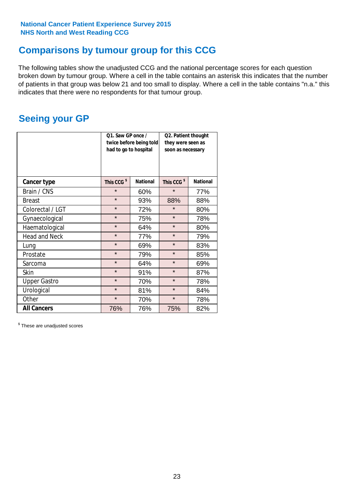# **Comparisons by tumour group for this CCG**

The following tables show the unadjusted CCG and the national percentage scores for each question broken down by tumour group. Where a cell in the table contains an asterisk this indicates that the number of patients in that group was below 21 and too small to display. Where a cell in the table contains "n.a." this indicates that there were no respondents for that tumour group.

# **Seeing your GP**

|                      | Q1. Saw GP once /<br>had to go to hospital | twice before being told | Q2. Patient thought<br>they were seen as<br>soon as necessary |                 |
|----------------------|--------------------------------------------|-------------------------|---------------------------------------------------------------|-----------------|
| <b>Cancer type</b>   | This CCG <sup>\$</sup>                     | <b>National</b>         | This CCG <sup>\$</sup>                                        | <b>National</b> |
| Brain / CNS          | $\star$                                    | 60%                     | $\star$                                                       | 77%             |
| <b>Breast</b>        | $\star$                                    | 93%                     | 88%                                                           | 88%             |
| Colorectal / LGT     | $\star$                                    | 72%                     |                                                               | 80%             |
| Gynaecological       | $\star$                                    | 75%                     | $\star$                                                       | 78%             |
| Haematological       | $\star$                                    | 64%                     | $\star$                                                       | 80%             |
| <b>Head and Neck</b> | $\star$                                    | 77%                     | $\star$                                                       | 79%             |
| Lung                 | $\star$                                    | 69%                     | $\star$                                                       | 83%             |
| Prostate             | $\star$                                    | 79%                     | $\star$                                                       | 85%             |
| Sarcoma              | $\star$                                    | 64%                     | $\star$                                                       | 69%             |
| Skin                 | $\star$                                    | 91%                     | $\star$                                                       | 87%             |
| <b>Upper Gastro</b>  | $\star$                                    | 70%                     | $\star$                                                       | 78%             |
| Urological           | $\star$                                    | 81%                     | $\star$                                                       | 84%             |
| Other                | $\star$                                    | 70%                     | $\star$                                                       | 78%             |
| <b>All Cancers</b>   | 76%                                        | 76%                     | 75%                                                           | 82%             |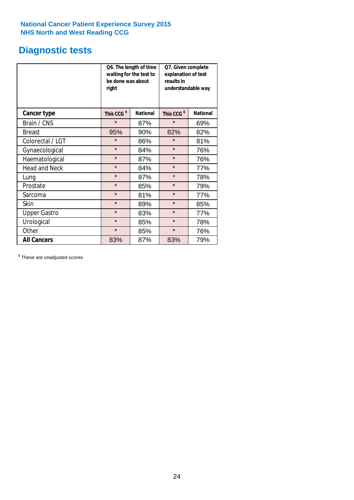# **Diagnostic tests**

|                      | be done was about<br>right | Q6. The length of time<br>waiting for the test to | Q7. Given complete<br>explanation of test<br>results in<br>understandable way |                 |  |  |
|----------------------|----------------------------|---------------------------------------------------|-------------------------------------------------------------------------------|-----------------|--|--|
| <b>Cancer type</b>   | This CCG <sup>\$</sup>     | <b>National</b>                                   | This CCG <sup>\$</sup>                                                        | <b>National</b> |  |  |
| Brain / CNS          | $\star$                    | 87%                                               | $\star$                                                                       | 69%             |  |  |
| <b>Breast</b>        | 95%                        | 90%                                               | 82%                                                                           | 82%             |  |  |
| Colorectal / LGT     | $\star$<br>86%             |                                                   | $\star$                                                                       | 81%             |  |  |
| Gynaecological       | $\star$                    | 84%                                               | $\star$                                                                       | 76%             |  |  |
| Haematological       | $\star$                    | 87%                                               | $\star$                                                                       | 76%             |  |  |
| <b>Head and Neck</b> | $\star$                    | 84%                                               | $\star$                                                                       | 77%             |  |  |
| Lung                 | $\star$                    | 87%                                               | $\star$                                                                       | 78%             |  |  |
| Prostate             | $\star$                    | 85%                                               | $\star$                                                                       | 79%             |  |  |
| Sarcoma              | $\star$                    | 81%                                               | $\star$                                                                       | 77%             |  |  |
| <b>Skin</b>          | $\star$                    | 89%                                               | $\star$                                                                       | 85%             |  |  |
| <b>Upper Gastro</b>  | $\star$                    | 83%                                               | $\star$                                                                       | 77%             |  |  |
| Urological           | $\star$                    | 85%                                               | $\star$                                                                       | 78%             |  |  |
| Other                | $\star$                    | 85%                                               | $\star$                                                                       | 76%             |  |  |
| <b>All Cancers</b>   | 83%                        | 87%                                               | 83%                                                                           | 79%             |  |  |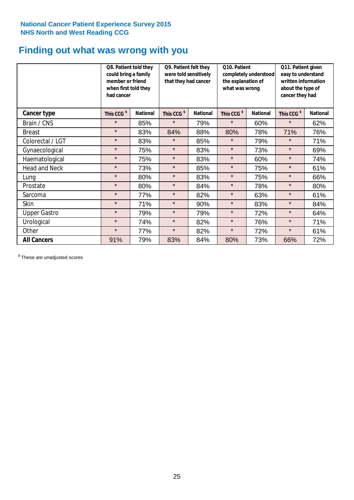# **Finding out what was wrong with you**

|                      |                        | Q8. Patient told they<br>could bring a family<br>member or friend<br>when first told they<br>had cancer |                        | Q9. Patient felt they<br>were told sensitively<br>that they had cancer | Q10. Patient<br>completely understood<br>the explanation of<br>what was wrong |                 | Q11. Patient given<br>easy to understand<br>written information<br>about the type of<br>cancer they had |                 |
|----------------------|------------------------|---------------------------------------------------------------------------------------------------------|------------------------|------------------------------------------------------------------------|-------------------------------------------------------------------------------|-----------------|---------------------------------------------------------------------------------------------------------|-----------------|
| Cancer type          | This CCG <sup>\$</sup> | <b>National</b>                                                                                         | This CCG <sup>\$</sup> | <b>National</b>                                                        | This CCG <sup>\$</sup>                                                        | <b>National</b> | This CCG <sup>\$</sup>                                                                                  | <b>National</b> |
| Brain / CNS          | $\star$                | 85%                                                                                                     | $\star$                | 79%                                                                    | $\star$                                                                       | 60%             | $\star$                                                                                                 | 62%             |
| <b>Breast</b>        | $\star$                | 83%                                                                                                     | 84%                    | 88%                                                                    | 80%                                                                           | 78%             | 71%                                                                                                     | 76%             |
| Colorectal / LGT     | $\star$                | 83%                                                                                                     | $\star$                | 85%                                                                    | $\star$                                                                       | 79%             | $\star$                                                                                                 | 71%             |
| Gynaecological       | $\star$                | 75%                                                                                                     | $\star$                | 83%                                                                    | $\star$                                                                       | 73%             | $\star$                                                                                                 | 69%             |
| Haematological       | $\star$                | 75%                                                                                                     | $\star$                | 83%                                                                    | $\star$                                                                       | 60%             | $\star$                                                                                                 | 74%             |
| <b>Head and Neck</b> | $\star$                | 73%                                                                                                     | $\star$                | 85%                                                                    | $\star$                                                                       | 75%             | $\star$                                                                                                 | 61%             |
| Lung                 | $\star$                | 80%                                                                                                     | $\star$                | 83%                                                                    | $\star$                                                                       | 75%             | $\star$                                                                                                 | 66%             |
| Prostate             | $\star$                | 80%                                                                                                     | $\star$                | 84%                                                                    | $\star$                                                                       | 78%             | $\star$                                                                                                 | 80%             |
| Sarcoma              | $\star$                | 77%                                                                                                     | $\star$                | 82%                                                                    | $\star$                                                                       | 63%             | $\star$                                                                                                 | 61%             |
| Skin                 | $\star$                | 71%                                                                                                     | $\star$                | 90%                                                                    | $\star$                                                                       | 83%             | $\star$                                                                                                 | 84%             |
| <b>Upper Gastro</b>  | $\star$                | 79%                                                                                                     | $\star$                | 79%                                                                    | $\star$                                                                       | 72%             | $\star$                                                                                                 | 64%             |
| Urological           | $\star$                | 74%                                                                                                     | $\star$                | 82%                                                                    | $\star$                                                                       | 76%             | $\star$                                                                                                 | 71%             |
| Other                | $\star$                | 77%                                                                                                     | $\star$                | 82%                                                                    | $\star$                                                                       | 72%             | $\star$                                                                                                 | 61%             |
| <b>All Cancers</b>   | 91%                    | 79%                                                                                                     | 83%                    | 84%                                                                    | 80%                                                                           | 73%             | 66%                                                                                                     | 72%             |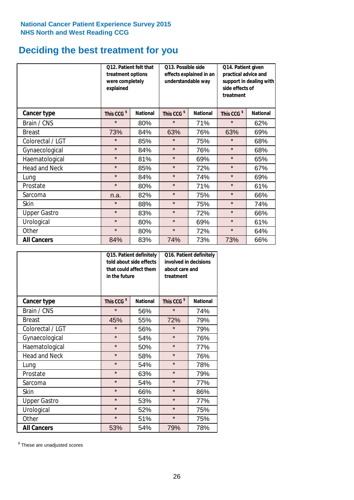# **Deciding the best treatment for you**

|                      | treatment options<br>were completely<br>explained | 012. Patient felt that | O13. Possible side<br>effects explained in an<br>understandable way |                 | Q14. Patient given<br>practical advice and<br>support in dealing with<br>side effects of<br>treatment |                 |
|----------------------|---------------------------------------------------|------------------------|---------------------------------------------------------------------|-----------------|-------------------------------------------------------------------------------------------------------|-----------------|
| <b>Cancer type</b>   | This CCG <sup>\$</sup>                            | <b>National</b>        | This CCG <sup>\$</sup>                                              | <b>National</b> | This CCG <sup>\$</sup>                                                                                | <b>National</b> |
| Brain / CNS          | $\star$                                           | 80%                    | $\star$                                                             | 71%             | $\star$                                                                                               | 62%             |
| <b>Breast</b>        | 73%                                               | 84%                    | 63%                                                                 | 76%             | 63%                                                                                                   | 69%             |
| Colorectal / LGT     | $\star$                                           | 85%                    | $\star$                                                             | 75%             | $\star$                                                                                               | 68%             |
| Gynaecological       | $\star$                                           | 84%                    | $\star$                                                             | 76%             | $\star$                                                                                               | 68%             |
| Haematological       | $\star$                                           | 81%                    | $\star$                                                             | 69%             | $\star$                                                                                               | 65%             |
| <b>Head and Neck</b> | $\star$                                           | 85%                    | $\star$                                                             | 72%             | $\star$                                                                                               | 67%             |
| Lung                 | $\star$                                           | 84%                    | $\star$                                                             | 74%             | $\star$                                                                                               | 69%             |
| Prostate             | $\star$                                           | 80%                    | $\star$                                                             | 71%             | $\star$                                                                                               | 61%             |
| Sarcoma              | n.a.                                              | 82%                    | $\star$                                                             | 75%             | $\star$                                                                                               | 66%             |
| Skin                 | $\star$                                           | 88%                    | $\star$                                                             | 75%             | $\star$                                                                                               | 74%             |
| <b>Upper Gastro</b>  | $\star$                                           | 83%                    | $\star$                                                             | 72%             | $\star$                                                                                               | 66%             |
| Urological           | $\star$                                           | 80%                    | $\star$                                                             | 69%             | $\star$                                                                                               | 61%             |
| Other                | $\star$                                           | 80%                    | $\star$                                                             | 72%             | $\star$                                                                                               | 64%             |
| <b>All Cancers</b>   | 84%                                               | 83%                    | 74%                                                                 | 73%             | 73%                                                                                                   | 66%             |

|                      | in the future          | Q15. Patient definitely<br>told about side effects<br>that could affect them | Q16. Patient definitely<br>involved in decisions<br>about care and<br>treatment |                 |  |
|----------------------|------------------------|------------------------------------------------------------------------------|---------------------------------------------------------------------------------|-----------------|--|
| <b>Cancer type</b>   | This CCG <sup>\$</sup> | <b>National</b>                                                              | This CCG <sup>\$</sup>                                                          | <b>National</b> |  |
| Brain / CNS          | $\star$                | 56%                                                                          | $\star$                                                                         | 74%             |  |
| <b>Breast</b>        | 45%                    | 55%                                                                          | 72%                                                                             | 79%             |  |
| Colorectal / LGT     | $\star$                | 56%                                                                          | $\star$                                                                         | 79%             |  |
| Gynaecological       | $\star$                | 54%                                                                          | $\star$                                                                         | 76%             |  |
| Haematological       | $\star$                | 50%                                                                          | $\star$                                                                         | 77%             |  |
| <b>Head and Neck</b> | $\star$                | 58%                                                                          | $\star$                                                                         | 76%             |  |
| Lung                 | $\star$                | 54%                                                                          | $\star$                                                                         | 78%             |  |
| Prostate             | $\star$                | 63%                                                                          | $\star$                                                                         | 79%             |  |
| Sarcoma              | $\star$                | 54%                                                                          | $\star$                                                                         | 77%             |  |
| <b>Skin</b>          | $\star$                | 66%                                                                          | $\star$                                                                         | 86%             |  |
| <b>Upper Gastro</b>  | $\star$                | 53%                                                                          | $\star$                                                                         | 77%             |  |
| Urological           | $\star$                | 52%                                                                          | $\star$                                                                         | 75%             |  |
| Other                | $\star$                | 51%                                                                          | $\star$                                                                         | 75%             |  |
| <b>All Cancers</b>   | 53%                    | 54%                                                                          | 79%                                                                             | 78%             |  |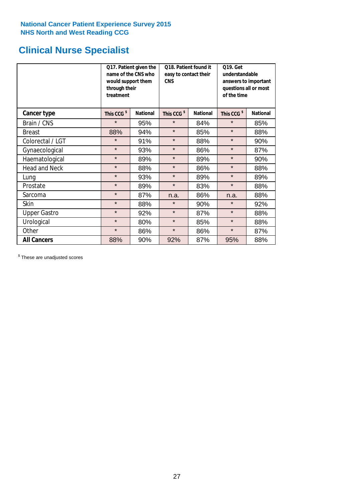# **Clinical Nurse Specialist**

|                      | would support them<br>through their<br>treatment | Q17. Patient given the<br>name of the CNS who | Q18. Patient found it<br>easy to contact their<br><b>CNS</b> |                 | <b>Q19. Get</b><br>understandable<br>answers to important<br>questions all or most<br>of the time |                 |
|----------------------|--------------------------------------------------|-----------------------------------------------|--------------------------------------------------------------|-----------------|---------------------------------------------------------------------------------------------------|-----------------|
| Cancer type          | This CCG <sup>\$</sup>                           | <b>National</b>                               | This CCG <sup>\$</sup>                                       | <b>National</b> | This CCG <sup>\$</sup>                                                                            | <b>National</b> |
| Brain / CNS          | $\star$                                          | 95%                                           | $\star$                                                      | 84%             | $\star$                                                                                           | 85%             |
| <b>Breast</b>        | 88%                                              | 94%                                           | $\star$                                                      | 85%             | $\star$                                                                                           | 88%             |
| Colorectal / LGT     | $\star$                                          | 91%                                           | $\star$                                                      | 88%             | $\star$                                                                                           | 90%             |
| Gynaecological       | $\star$                                          | 93%                                           | $\star$                                                      | 86%             | $\star$                                                                                           | 87%             |
| Haematological       | $\star$                                          | 89%                                           | $\star$                                                      | 89%             | $\star$                                                                                           | 90%             |
| <b>Head and Neck</b> | $\star$                                          | 88%                                           | $\star$                                                      | 86%             | $\star$                                                                                           | 88%             |
| Lung                 | $\star$                                          | 93%                                           | $\star$                                                      | 89%             | $\star$                                                                                           | 89%             |
| Prostate             | $\star$                                          | 89%                                           | $\star$                                                      | 83%             | $\star$                                                                                           | 88%             |
| Sarcoma              | $\star$                                          | 87%                                           | n.a.                                                         | 86%             | n.a.                                                                                              | 88%             |
| Skin                 | $\star$                                          | 88%                                           | $\star$                                                      | 90%             | $\star$                                                                                           | 92%             |
| <b>Upper Gastro</b>  | $\star$                                          | 92%                                           | $\star$                                                      | 87%             | $\star$                                                                                           | 88%             |
| Urological           | $\star$                                          | 80%                                           | $\star$                                                      | 85%             | $\star$                                                                                           | 88%             |
| Other                | $\star$                                          | 86%                                           | $\star$                                                      | 86%             | $\star$                                                                                           | 87%             |
| <b>All Cancers</b>   | 88%                                              | 90%                                           | 92%                                                          | 87%             | 95%                                                                                               | 88%             |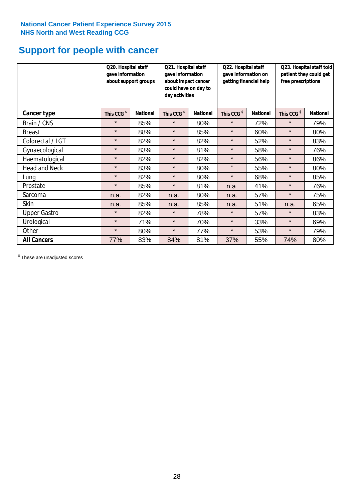# **Support for people with cancer**

|                      | Q20. Hospital staff<br>gave information | about support groups | Q21. Hospital staff<br>gave information<br>about impact cancer<br>could have on day to<br>day activities |                 | Q22. Hospital staff<br>gave information on<br>getting financial help |                 | Q23. Hospital staff told<br>patient they could get<br>free prescriptions |                 |
|----------------------|-----------------------------------------|----------------------|----------------------------------------------------------------------------------------------------------|-----------------|----------------------------------------------------------------------|-----------------|--------------------------------------------------------------------------|-----------------|
| Cancer type          | This CCG <sup>\$</sup>                  | <b>National</b>      | This CCG <sup>\$</sup>                                                                                   | <b>National</b> | This CCG <sup>\$</sup>                                               | <b>National</b> | This CCG <sup>\$</sup>                                                   | <b>National</b> |
| Brain / CNS          | $\star$                                 | 85%                  | $\star$                                                                                                  | 80%             | $\star$                                                              | 72%             | $\star$                                                                  | 79%             |
| <b>Breast</b>        | $\star$                                 | 88%                  | $\star$                                                                                                  | 85%             | $\star$                                                              | 60%             | $\star$                                                                  | 80%             |
| Colorectal / LGT     | $\star$                                 | 82%                  | $\star$                                                                                                  | 82%             | $\star$                                                              | 52%             | $\star$                                                                  | 83%             |
| Gynaecological       | $\star$                                 | 83%                  | $\star$                                                                                                  | 81%             | $\star$                                                              | 58%             | $\star$                                                                  | 76%             |
| Haematological       | $\star$                                 | 82%                  | $\star$                                                                                                  | 82%             | $\star$                                                              | 56%             | $\star$                                                                  | 86%             |
| <b>Head and Neck</b> | $\star$                                 | 83%                  | $\star$                                                                                                  | 80%             | $\star$                                                              | 55%             | $\star$                                                                  | 80%             |
| Lung                 | $\star$                                 | 82%                  | $\star$                                                                                                  | 80%             | $\star$                                                              | 68%             | $\star$                                                                  | 85%             |
| Prostate             | $\star$                                 | 85%                  | $\star$                                                                                                  | 81%             | n.a.                                                                 | 41%             | $\star$                                                                  | 76%             |
| Sarcoma              | n.a.                                    | 82%                  | n.a.                                                                                                     | 80%             | n.a.                                                                 | 57%             | $\star$                                                                  | 75%             |
| Skin                 | n.a.                                    | 85%                  | n.a.                                                                                                     | 85%             | n.a.                                                                 | 51%             | n.a.                                                                     | 65%             |
| <b>Upper Gastro</b>  | $\star$                                 | 82%                  | $\star$                                                                                                  | 78%             | $\star$                                                              | 57%             | $\star$                                                                  | 83%             |
| Urological           | $\star$                                 | 71%                  | $\star$                                                                                                  | 70%             | $\star$                                                              | 33%             | $\star$                                                                  | 69%             |
| Other                | $\star$                                 | 80%                  | $\star$                                                                                                  | 77%             | $\star$                                                              | 53%             | $\star$                                                                  | 79%             |
| <b>All Cancers</b>   | 77%                                     | 83%                  | 84%                                                                                                      | 81%             | 37%                                                                  | 55%             | 74%                                                                      | 80%             |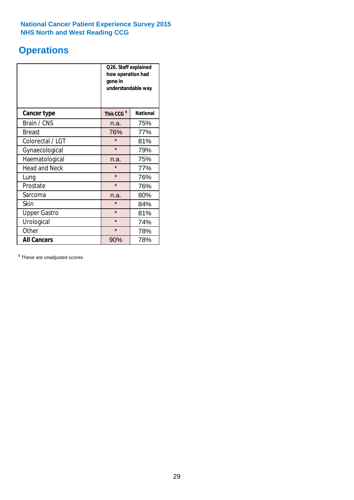# **Operations**

|                      | Q26. Staff explained<br>how operation had<br>gone in<br>understandable way |                 |  |  |  |
|----------------------|----------------------------------------------------------------------------|-----------------|--|--|--|
| <b>Cancer type</b>   | This CCG <sup>\$</sup>                                                     | <b>National</b> |  |  |  |
| Brain / CNS          | n.a.                                                                       | 75%             |  |  |  |
| <b>Breast</b>        | 76%                                                                        | 77%             |  |  |  |
| Colorectal / LGT     | $\star$                                                                    | 81%             |  |  |  |
| Gynaecological       | $\star$                                                                    | 79%             |  |  |  |
| Haematological       | 75%<br>n.a.                                                                |                 |  |  |  |
| <b>Head and Neck</b> | $\star$                                                                    | 77%             |  |  |  |
| Lung                 | $\star$                                                                    | 76%             |  |  |  |
| Prostate             | $\star$                                                                    | 76%             |  |  |  |
| Sarcoma              | n.a.                                                                       | 80%             |  |  |  |
| Skin                 | $\star$                                                                    | 84%             |  |  |  |
| <b>Upper Gastro</b>  | $\star$                                                                    | 81%             |  |  |  |
| Urological           | $\star$                                                                    | 74%             |  |  |  |
| Other                | $\star$<br>78%                                                             |                 |  |  |  |
| <b>All Cancers</b>   | 78%<br>90%                                                                 |                 |  |  |  |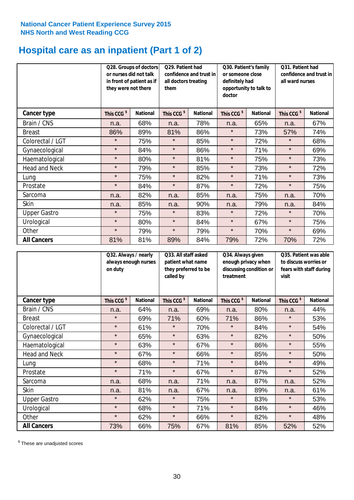# **Hospital care as an inpatient (Part 1 of 2)**

|                     | or nurses did not talk<br>they were not there | Q29. Patient had<br>Q28. Groups of doctors<br>confidence and trust in<br>in front of patient as if<br>all doctors treating<br>them |                        | Q30. Patient's family<br>or someone close<br>definitely had<br>opportunity to talk to<br>doctor |                        | Q31. Patient had<br>confidence and trust in I<br>all ward nurses |                        |                 |
|---------------------|-----------------------------------------------|------------------------------------------------------------------------------------------------------------------------------------|------------------------|-------------------------------------------------------------------------------------------------|------------------------|------------------------------------------------------------------|------------------------|-----------------|
| Cancer type         | This CCG <sup>\$</sup>                        | <b>National</b>                                                                                                                    | This CCG <sup>\$</sup> | <b>National</b>                                                                                 | This CCG <sup>\$</sup> | <b>National</b>                                                  | This CCG <sup>\$</sup> | <b>National</b> |
| Brain / CNS         | n.a.                                          | 68%                                                                                                                                | n.a.                   | 78%                                                                                             | n.a.                   | 65%                                                              | n.a.                   | 67%             |
| <b>Breast</b>       | 86%                                           | 89%                                                                                                                                | 81%                    | 86%                                                                                             | $\star$                | 73%                                                              | 57%                    | 74%             |
| Colorectal / LGT    | $\star$                                       | 75%                                                                                                                                | $\star$                | 85%                                                                                             | $\star$                | 72%                                                              | $\star$                | 68%             |
| Gynaecological      | $\star$                                       | 84%                                                                                                                                | $\star$                | 86%                                                                                             | $\star$                | 71%                                                              | $\star$                | 69%             |
| Haematological      | $\star$                                       | 80%                                                                                                                                | $\star$                | 81%                                                                                             | $\star$                | 75%                                                              | $\star$                | 73%             |
| Head and Neck       | $\star$                                       | 79%                                                                                                                                | $\star$                | 85%                                                                                             | $\star$                | 73%                                                              | $\star$                | 72%             |
| Lung                | $\star$                                       | 75%                                                                                                                                | $\star$                | 82%                                                                                             | $\star$                | 71%                                                              | $\star$                | 73%             |
| Prostate            | $\star$                                       | 84%                                                                                                                                | $\star$                | 87%                                                                                             | $\star$                | 72%                                                              | $\star$                | 75%             |
| Sarcoma             | n.a.                                          | 82%                                                                                                                                | n.a.                   | 85%                                                                                             | n.a.                   | 75%                                                              | n.a.                   | 70%             |
| Skin                | n.a.                                          | 85%                                                                                                                                | n.a.                   | 90%                                                                                             | n.a.                   | 79%                                                              | n.a.                   | 84%             |
| <b>Upper Gastro</b> | $\star$                                       | 75%                                                                                                                                | $\star$                | 83%                                                                                             | $\star$                | 72%                                                              | $\star$                | 70%             |
| Urological          | $\star$                                       | 80%                                                                                                                                | $\star$                | 84%                                                                                             | $\star$                | 67%                                                              | $\star$                | 75%             |
| Other               | $\star$                                       | 79%                                                                                                                                | $\star$                | 79%                                                                                             | $\star$                | 70%                                                              | $\star$                | 69%             |
| <b>All Cancers</b>  | 81%                                           | 81%                                                                                                                                | 89%                    | 84%                                                                                             | 79%                    | 72%                                                              | 70%                    | 72%             |

|                      | Q32. Always / nearly<br>always enough nurses<br>on duty |                 | Q33. All staff asked<br>patient what name<br>they preferred to be<br>called by |                 | Q34. Always given<br>enough privacy when<br>discussing condition or<br>treatment |                 | Q35. Patient was able<br>to discuss worries or<br>fears with staff during<br>visit |                 |
|----------------------|---------------------------------------------------------|-----------------|--------------------------------------------------------------------------------|-----------------|----------------------------------------------------------------------------------|-----------------|------------------------------------------------------------------------------------|-----------------|
| <b>Cancer type</b>   | This CCG <sup>\$</sup>                                  | <b>National</b> | This CCG <sup>\$</sup>                                                         | <b>National</b> | This CCG <sup>\$</sup>                                                           | <b>National</b> | This CCG <sup>\$</sup>                                                             | <b>National</b> |
| Brain / CNS          | n.a.                                                    | 64%             | n.a.                                                                           | 69%             | n.a.                                                                             | 80%             | n.a.                                                                               | 44%             |
| <b>Breast</b>        | $\star$                                                 | 69%             | 71%                                                                            | 60%             | 71%                                                                              | 86%             | $\star$                                                                            | 53%             |
| Colorectal / LGT     | $\star$                                                 | 61%             | $\star$                                                                        | 70%             | $\star$                                                                          | 84%             | $\star$                                                                            | 54%             |
| Gynaecological       | $\star$                                                 | 65%             | $\star$                                                                        | 63%             | $\star$                                                                          | 82%             | $\star$                                                                            | 50%             |
| Haematological       | $\star$                                                 | 63%             | $\star$                                                                        | 67%             | $\star$                                                                          | 86%             | $\star$                                                                            | 55%             |
| <b>Head and Neck</b> | $\star$                                                 | 67%             | $\star$                                                                        | 66%             | $\star$                                                                          | 85%             | $\star$                                                                            | 50%             |
| Lung                 | $\star$                                                 | 68%             | $\star$                                                                        | 71%             | $\star$                                                                          | 84%             | $\star$                                                                            | 49%             |
| Prostate             | $\star$                                                 | 71%             | $\star$                                                                        | 67%             | $\star$                                                                          | 87%             | $\star$                                                                            | 52%             |
| Sarcoma              | n.a.                                                    | 68%             | n.a.                                                                           | 71%             | n.a.                                                                             | 87%             | n.a.                                                                               | 52%             |
| Skin                 | n.a.                                                    | 81%             | n.a.                                                                           | 67%             | n.a.                                                                             | 89%             | n.a.                                                                               | 61%             |
| <b>Upper Gastro</b>  | $\star$                                                 | 62%             | $\star$                                                                        | 75%             | $\star$                                                                          | 83%             | $\star$                                                                            | 53%             |
| Urological           | $\star$                                                 | 68%             | $\star$                                                                        | 71%             | $\star$                                                                          | 84%             | $\star$                                                                            | 46%             |
| Other                | $\star$                                                 | 62%             | $\star$                                                                        | 66%             | $\star$                                                                          | 82%             | $\star$                                                                            | 48%             |
| <b>All Cancers</b>   | 73%                                                     | 66%             | 75%                                                                            | 67%             | 81%                                                                              | 85%             | 52%                                                                                | 52%             |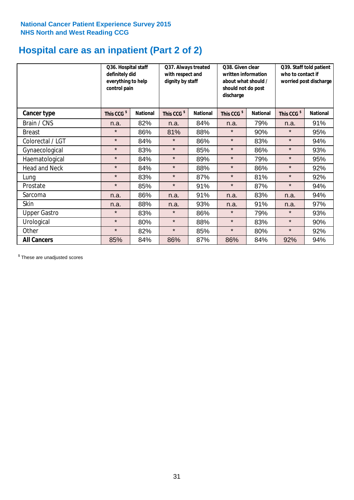# **Hospital care as an inpatient (Part 2 of 2)**

|                      | Q36. Hospital staff<br>definitely did<br>everything to help<br>control pain |                 | Q37. Always treated<br>with respect and<br>dignity by staff |                 | Q38. Given clear<br>written information<br>about what should /<br>should not do post<br>discharge |                 | Q39. Staff told patient<br>who to contact if<br>worried post discharge |                 |
|----------------------|-----------------------------------------------------------------------------|-----------------|-------------------------------------------------------------|-----------------|---------------------------------------------------------------------------------------------------|-----------------|------------------------------------------------------------------------|-----------------|
| Cancer type          | This CCG <sup>\$</sup>                                                      | <b>National</b> | This CCG <sup>\$</sup>                                      | <b>National</b> | This CCG <sup>\$</sup>                                                                            | <b>National</b> | This CCG <sup>\$</sup>                                                 | <b>National</b> |
| Brain / CNS          | n.a.                                                                        | 82%             | n.a.                                                        | 84%             | n.a.                                                                                              | 79%             | n.a.                                                                   | 91%             |
| <b>Breast</b>        | $\star$                                                                     | 86%             | 81%                                                         | 88%             | $\star$                                                                                           | 90%             | $\star$                                                                | 95%             |
| Colorectal / LGT     | $\star$                                                                     | 84%             | $\star$                                                     | 86%             | $\star$                                                                                           | 83%             | $\star$                                                                | 94%             |
| Gynaecological       | $\star$                                                                     | 83%             | $\star$                                                     | 85%             | $\star$                                                                                           | 86%             | $\star$                                                                | 93%             |
| Haematological       | $\star$                                                                     | 84%             | $\star$                                                     | 89%             | $\star$                                                                                           | 79%             | $\star$                                                                | 95%             |
| <b>Head and Neck</b> | $\star$                                                                     | 84%             | $\star$                                                     | 88%             | $\star$                                                                                           | 86%             | $\star$                                                                | 92%             |
| Lung                 | $\star$                                                                     | 83%             | $\star$                                                     | 87%             | $\star$                                                                                           | 81%             | $\star$                                                                | 92%             |
| Prostate             | $\star$                                                                     | 85%             | $\star$                                                     | 91%             | $\star$                                                                                           | 87%             | $\star$                                                                | 94%             |
| Sarcoma              | n.a.                                                                        | 86%             | n.a.                                                        | 91%             | n.a.                                                                                              | 83%             | n.a.                                                                   | 94%             |
| Skin                 | n.a.                                                                        | 88%             | n.a.                                                        | 93%             | n.a.                                                                                              | 91%             | n.a.                                                                   | 97%             |
| <b>Upper Gastro</b>  | $\star$                                                                     | 83%             | $\star$                                                     | 86%             | $\star$                                                                                           | 79%             | $\star$                                                                | 93%             |
| Urological           | $\star$                                                                     | 80%             | $\star$                                                     | 88%             | $\star$                                                                                           | 83%             | $\star$                                                                | 90%             |
| Other                | $\star$                                                                     | 82%             | $\star$                                                     | 85%             | $\star$                                                                                           | 80%             | $\star$                                                                | 92%             |
| <b>All Cancers</b>   | 85%                                                                         | 84%             | 86%                                                         | 87%             | 86%                                                                                               | 84%             | 92%                                                                    | 94%             |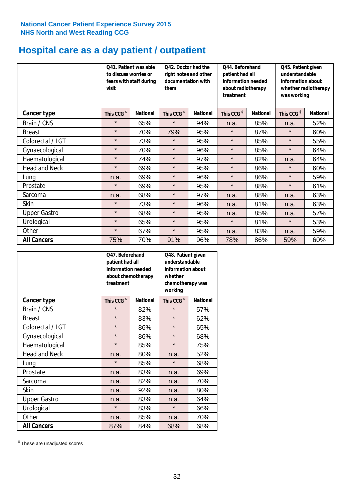# **Hospital care as a day patient / outpatient**

|                      | to discuss worries or<br>visit | Q41. Patient was able<br>fears with staff during | Q42. Doctor had the<br>right notes and other<br>documentation with<br>them |                 | Q44. Beforehand<br>patient had all<br>information needed<br>about radiotherapy<br>treatment |                 | Q45. Patient given<br>understandable<br>information about<br>whether radiotherapy<br>was working |                 |
|----------------------|--------------------------------|--------------------------------------------------|----------------------------------------------------------------------------|-----------------|---------------------------------------------------------------------------------------------|-----------------|--------------------------------------------------------------------------------------------------|-----------------|
| Cancer type          | This CCG <sup>\$</sup>         | <b>National</b>                                  | This CCG <sup>\$</sup>                                                     | <b>National</b> | This CCG <sup>\$</sup>                                                                      | <b>National</b> | This CCG <sup>\$</sup>                                                                           | <b>National</b> |
| Brain / CNS          | $\star$                        | 65%                                              | $\star$                                                                    | 94%             | n.a.                                                                                        | 85%             | n.a.                                                                                             | 52%             |
| <b>Breast</b>        | $\star$                        | 70%                                              | 79%                                                                        | 95%             | $\star$                                                                                     | 87%             | $\star$                                                                                          | 60%             |
| Colorectal / LGT     | $\star$                        | 73%                                              | $\star$                                                                    | 95%             | $\star$                                                                                     | 85%             | $\star$                                                                                          | 55%             |
| Gynaecological       | $\star$                        | 70%                                              | $\star$                                                                    | 96%             | $\star$                                                                                     | 85%             | $\star$                                                                                          | 64%             |
| Haematological       | $\star$                        | 74%                                              | $\star$                                                                    | 97%             | $\star$                                                                                     | 82%             | n.a.                                                                                             | 64%             |
| <b>Head and Neck</b> | $\star$                        | 69%                                              | $\star$                                                                    | 95%             | $\star$                                                                                     | 86%             | $\star$                                                                                          | 60%             |
| Lung                 | n.a.                           | 69%                                              | $\star$                                                                    | 96%             | $\star$                                                                                     | 86%             | $\star$                                                                                          | 59%             |
| Prostate             | $\star$                        | 69%                                              | $\star$                                                                    | 95%             | $\star$                                                                                     | 88%             | $\star$                                                                                          | 61%             |
| Sarcoma              | n.a.                           | 68%                                              | $\star$                                                                    | 97%             | n.a.                                                                                        | 88%             | n.a.                                                                                             | 63%             |
| Skin                 | $\star$                        | 73%                                              | $\star$                                                                    | 96%             | n.a.                                                                                        | 81%             | n.a.                                                                                             | 63%             |
| <b>Upper Gastro</b>  | $\star$                        | 68%                                              | $\star$                                                                    | 95%             | n.a.                                                                                        | 85%             | n.a.                                                                                             | 57%             |
| Urological           | $\star$                        | 65%                                              | $\star$                                                                    | 95%             | $\star$                                                                                     | 81%             | $\star$                                                                                          | 53%             |
| Other                | $\star$                        | 67%                                              | $\star$                                                                    | 95%             | n.a.                                                                                        | 83%             | n.a.                                                                                             | 59%             |
| <b>All Cancers</b>   | 75%                            | 70%                                              | 91%                                                                        | 96%             | 78%                                                                                         | 86%             | 59%                                                                                              | 60%             |

|                      | O47. Beforehand<br>patient had all<br>information needed<br>treatment | about chemotherapy | Q48. Patient given<br>understandable<br>information about<br>whether<br>chemotherapy was<br>working |                 |  |
|----------------------|-----------------------------------------------------------------------|--------------------|-----------------------------------------------------------------------------------------------------|-----------------|--|
| <b>Cancer type</b>   | This CCG <sup>\$</sup>                                                | <b>National</b>    | This CCG <sup>\$</sup>                                                                              | <b>National</b> |  |
| Brain / CNS          | $\star$                                                               | 82%                | $\star$                                                                                             | 57%             |  |
| <b>Breast</b>        | $\star$                                                               | 83%                | $\star$                                                                                             | 62%             |  |
| Colorectal / LGT     | $\star$                                                               | 86%                | $\star$                                                                                             | 65%             |  |
| Gynaecological       | $\star$                                                               | 86%                | $\star$                                                                                             | 68%             |  |
| Haematological       | $\star$                                                               | 85%                |                                                                                                     | 75%             |  |
| <b>Head and Neck</b> | n.a.                                                                  | 80%                | n.a.                                                                                                | 52%             |  |
| Lung                 | $\star$                                                               | 85%                | $\star$                                                                                             | 68%             |  |
| Prostate             | n.a.                                                                  | 83%                | n.a.                                                                                                | 69%             |  |
| Sarcoma              | n.a.                                                                  | 82%                | n.a.                                                                                                | 70%             |  |
| Skin                 | n.a.                                                                  | 92%                | n.a.                                                                                                | 80%             |  |
| <b>Upper Gastro</b>  | n.a.                                                                  | 83%                | n.a.                                                                                                | 64%             |  |
| Urological           | $\star$                                                               | 83%                | $\star$                                                                                             | 66%             |  |
| Other                | n.a.                                                                  | 85%                | n.a.                                                                                                | 70%             |  |
| <b>All Cancers</b>   | 87%                                                                   | 84%                | 68%                                                                                                 | 68%             |  |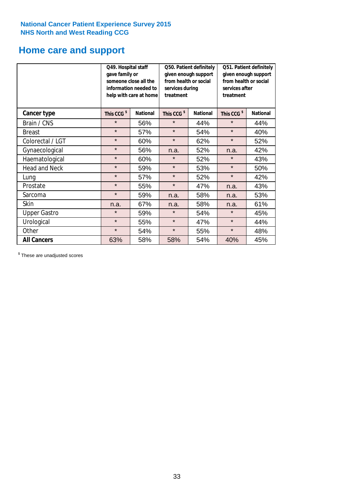# **Home care and support**

|                      | Q49. Hospital staff<br>gave family or | someone close all the<br>information needed to<br>help with care at home | Q50. Patient definitely<br>given enough support<br>from health or social<br>services during<br>treatment |                 | Q51. Patient definitely<br>given enough support<br>from health or social<br>services after<br>treatment |                 |
|----------------------|---------------------------------------|--------------------------------------------------------------------------|----------------------------------------------------------------------------------------------------------|-----------------|---------------------------------------------------------------------------------------------------------|-----------------|
| <b>Cancer type</b>   | This CCG <sup>\$</sup>                | <b>National</b>                                                          | This CCG <sup>\$</sup>                                                                                   | <b>National</b> | This CCG <sup>\$</sup>                                                                                  | <b>National</b> |
| Brain / CNS          | $\star$                               | 56%                                                                      | $\star$                                                                                                  | 44%             | $\star$                                                                                                 | 44%             |
| <b>Breast</b>        | $\star$                               | 57%                                                                      | $\star$                                                                                                  | 54%             | $\star$                                                                                                 | 40%             |
| Colorectal / LGT     | $\star$                               | 60%                                                                      | $\star$                                                                                                  | 62%             | $\star$                                                                                                 | 52%             |
| Gynaecological       | $\star$                               | 56%                                                                      | 52%<br>n.a.                                                                                              |                 | n.a.                                                                                                    | 42%             |
| Haematological       | $\star$                               | 60%                                                                      | $\star$                                                                                                  | 52%             | $\star$                                                                                                 | 43%             |
| <b>Head and Neck</b> | $\star$                               | 59%                                                                      | $\star$                                                                                                  | 53%             | $\star$                                                                                                 | 50%             |
| Lung                 | $\star$                               | 57%                                                                      | $\star$                                                                                                  | 52%             | $\star$                                                                                                 | 42%             |
| Prostate             | $\star$                               | 55%                                                                      | $\star$                                                                                                  | 47%             | n.a.                                                                                                    | 43%             |
| Sarcoma              | $\star$                               | 59%                                                                      | n.a.                                                                                                     | 58%             | n.a.                                                                                                    | 53%             |
| Skin                 | n.a.                                  | 67%                                                                      | n.a.                                                                                                     | 58%             | n.a.                                                                                                    | 61%             |
| <b>Upper Gastro</b>  | $\star$                               | 59%                                                                      | $\star$                                                                                                  | 54%             | $\star$                                                                                                 | 45%             |
| Urological           | $\star$                               | 55%                                                                      | $\star$                                                                                                  | 47%             | $\star$                                                                                                 | 44%             |
| Other                | $\star$                               | 54%                                                                      | $\star$                                                                                                  | 55%             | $\star$                                                                                                 | 48%             |
| <b>All Cancers</b>   | 63%                                   | 58%                                                                      | 58%                                                                                                      | 54%             | 40%                                                                                                     | 45%             |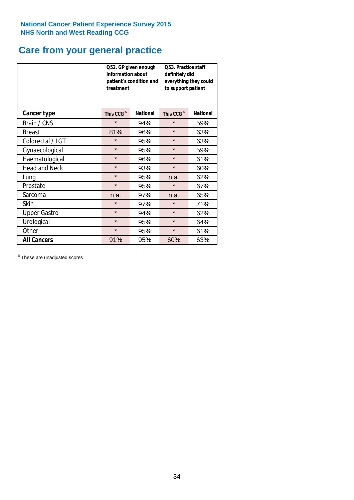# **Care from your general practice**

|                      | information about<br>treatment | Q52. GP given enough<br>patient's condition and | O53. Practice staff<br>definitely did<br>everything they could<br>to support patient |                 |  |
|----------------------|--------------------------------|-------------------------------------------------|--------------------------------------------------------------------------------------|-----------------|--|
| <b>Cancer type</b>   | This CCG <sup>\$</sup>         | <b>National</b>                                 | This CCG <sup>\$</sup>                                                               | <b>National</b> |  |
| Brain / CNS          | $\star$                        | 94%                                             | $\star$                                                                              | 59%             |  |
| <b>Breast</b>        | 81%                            | 96%                                             | $\star$                                                                              | 63%             |  |
| Colorectal / LGT     | $\star$                        | 95%                                             | $\star$                                                                              | 63%             |  |
| Gynaecological       | $\star$                        | 95%                                             | $\star$                                                                              | 59%             |  |
| Haematological       | $\star$                        | 96%                                             | $\star$                                                                              | 61%             |  |
| <b>Head and Neck</b> | $\star$                        | 93%                                             | $\star$                                                                              | 60%             |  |
| Lung                 | $\star$                        | 95%                                             | n.a.                                                                                 | 62%             |  |
| Prostate             | $\star$                        | 95%                                             | $\star$                                                                              | 67%             |  |
| Sarcoma              | n.a.                           | 97%                                             | n.a.                                                                                 | 65%             |  |
| Skin                 | $\star$                        | 97%                                             | $\star$                                                                              | 71%             |  |
| <b>Upper Gastro</b>  | $\star$                        | 94%                                             | $\star$                                                                              | 62%             |  |
| Urological           | $\star$                        | 95%                                             | $\star$                                                                              | 64%             |  |
| Other                | $\star$                        | 95%                                             | $\star$                                                                              | 61%             |  |
| <b>All Cancers</b>   | 91%                            | 95%                                             | 60%                                                                                  | 63%             |  |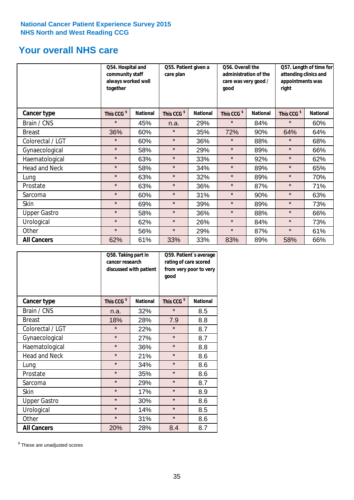# **Your overall NHS care**

|                      | Q54. Hospital and<br>community staff<br>always worked well<br>together |                 | Q55. Patient given a<br>care plan |                 | Q56. Overall the<br>administration of the<br>care was very good /<br>qood |                 | Q57. Length of time for<br>attending clinics and<br>appointments was<br>right |                 |
|----------------------|------------------------------------------------------------------------|-----------------|-----------------------------------|-----------------|---------------------------------------------------------------------------|-----------------|-------------------------------------------------------------------------------|-----------------|
| <b>Cancer type</b>   | This CCG <sup>\$</sup>                                                 | <b>National</b> | This CCG <sup>\$</sup>            | <b>National</b> | This CCG <sup>\$</sup>                                                    | <b>National</b> | This CCG <sup>\$</sup>                                                        | <b>National</b> |
| Brain / CNS          | $\star$                                                                | 45%             | n.a.                              | 29%             | $\star$                                                                   | 84%             | $\star$                                                                       | 60%             |
| <b>Breast</b>        | 36%                                                                    | 60%             | $\star$                           | 35%             | 72%                                                                       | 90%             | 64%                                                                           | 64%             |
| Colorectal / LGT     | $\star$                                                                | 60%             | $\star$                           | 36%             | $\star$                                                                   | 88%             | $\star$                                                                       | 68%             |
| Gynaecological       | $\star$                                                                | 58%             | $\star$                           | 29%             | $\star$                                                                   | 89%             | $\star$                                                                       | 66%             |
| Haematological       | $\star$                                                                | 63%             | $\star$                           | 33%             | $\star$                                                                   | 92%             | $\star$                                                                       | 62%             |
| <b>Head and Neck</b> | $\star$                                                                | 58%             | $\star$                           | 34%             | $\star$                                                                   | 89%             | $\star$                                                                       | 65%             |
| Lung                 | $\star$                                                                | 63%             | $\star$                           | 32%             | $\star$                                                                   | 89%             | $\star$                                                                       | 70%             |
| Prostate             | $\star$                                                                | 63%             | $\star$                           | 36%             | $\star$                                                                   | 87%             | $\star$                                                                       | 71%             |
| Sarcoma              | $\star$                                                                | 60%             | $\star$                           | 31%             | $\star$                                                                   | 90%             | $\star$                                                                       | 63%             |
| Skin                 | $\star$                                                                | 69%             | $\star$                           | 39%             | $\star$                                                                   | 89%             | $\star$                                                                       | 73%             |
| <b>Upper Gastro</b>  | $\star$                                                                | 58%             | $\star$                           | 36%             | $\star$                                                                   | 88%             | $\star$                                                                       | 66%             |
| Urological           | $\star$                                                                | 62%             | $\star$                           | 26%             | $\star$                                                                   | 84%             | $\star$                                                                       | 73%             |
| Other                | $\star$                                                                | 56%             | $\star$                           | 29%             | $\star$                                                                   | 87%             | $\star$                                                                       | 61%             |
| <b>All Cancers</b>   | 62%                                                                    | 61%             | 33%                               | 33%             | 83%                                                                       | 89%             | 58%                                                                           | 66%             |

|                      | Q58. Taking part in<br>cancer research | discussed with patient | Q59. Patient's average<br>rating of care scored<br>from very poor to very<br>good |                 |  |
|----------------------|----------------------------------------|------------------------|-----------------------------------------------------------------------------------|-----------------|--|
| <b>Cancer type</b>   | This CCG <sup>\$</sup>                 | <b>National</b>        | This CCG <sup>\$</sup>                                                            | <b>National</b> |  |
| Brain / CNS          | n.a.                                   | 32%                    | $\star$                                                                           | 8.5             |  |
| <b>Breast</b>        | 18%                                    | 28%                    | 7.9                                                                               | 8.8             |  |
| Colorectal / LGT     | $\star$                                | 22%                    | $\star$                                                                           | 8.7             |  |
| Gynaecological       | $\star$                                | 27%                    | $\star$                                                                           | 8.7             |  |
| Haematological       | $\star$                                | 36%                    | $\star$                                                                           | 8.8             |  |
| <b>Head and Neck</b> | $\star$                                | 21%                    | $\star$                                                                           | 8.6             |  |
| Lung                 | $\star$                                | 34%                    | $\star$                                                                           | 8.6             |  |
| Prostate             | $\star$                                | 35%                    | $\star$                                                                           | 8.6             |  |
| Sarcoma              | $\star$                                | 29%                    | $\star$                                                                           | 8.7             |  |
| <b>Skin</b>          | $\star$                                | 17%                    | $\star$                                                                           | 8.9             |  |
| <b>Upper Gastro</b>  | $\star$                                | 30%                    | $\star$                                                                           | 8.6             |  |
| Urological           | $\star$                                | 14%                    | $\star$                                                                           | 8.5             |  |
| Other                | $\star$                                | 31%                    | $\star$                                                                           | 8.6             |  |
| <b>All Cancers</b>   | 20%                                    | 28%                    | 8.4                                                                               | 8.7             |  |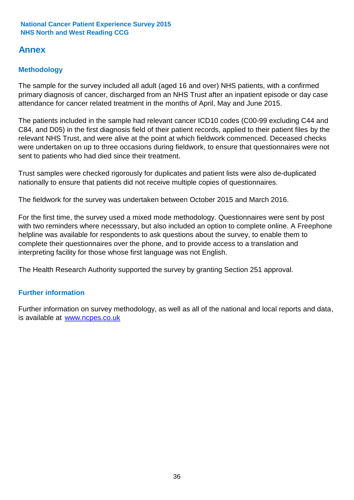# **Annex**

# **Methodology**

The sample for the survey included all adult (aged 16 and over) NHS patients, with a confirmed primary diagnosis of cancer, discharged from an NHS Trust after an inpatient episode or day case attendance for cancer related treatment in the months of April, May and June 2015.

The patients included in the sample had relevant cancer ICD10 codes (C00-99 excluding C44 and C84, and D05) in the first diagnosis field of their patient records, applied to their patient files by the relevant NHS Trust, and were alive at the point at which fieldwork commenced. Deceased checks were undertaken on up to three occasions during fieldwork, to ensure that questionnaires were not sent to patients who had died since their treatment.

Trust samples were checked rigorously for duplicates and patient lists were also de-duplicated nationally to ensure that patients did not receive multiple copies of questionnaires.

The fieldwork for the survey was undertaken between October 2015 and March 2016.

For the first time, the survey used a mixed mode methodology. Questionnaires were sent by post with two reminders where necesssary, but also included an option to complete online. A Freephone helpline was available for respondents to ask questions about the survey, to enable them to complete their questionnaires over the phone, and to provide access to a translation and interpreting facility for those whose first language was not English.

The Health Research Authority supported the survey by granting Section 251 approval.

# **Further information**

Further information on survey methodology, as well as all of the national and local reports and data, is available at www.ncpes.co.uk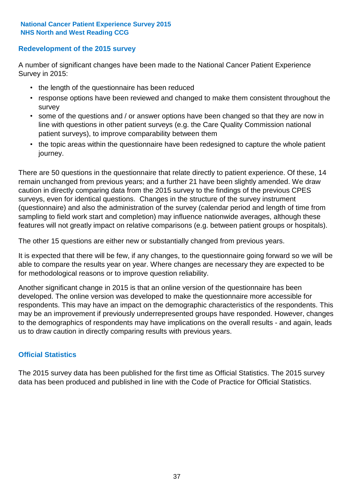# **Redevelopment of the 2015 survey**

A number of significant changes have been made to the National Cancer Patient Experience Survey in 2015:

- the length of the questionnaire has been reduced
- response options have been reviewed and changed to make them consistent throughout the survey
- some of the questions and / or answer options have been changed so that they are now in line with questions in other patient surveys (e.g. the Care Quality Commission national patient surveys), to improve comparability between them
- the topic areas within the questionnaire have been redesigned to capture the whole patient journey.

There are 50 questions in the questionnaire that relate directly to patient experience. Of these, 14 remain unchanged from previous years; and a further 21 have been slightly amended. We draw caution in directly comparing data from the 2015 survey to the findings of the previous CPES surveys, even for identical questions. Changes in the structure of the survey instrument (questionnaire) and also the administration of the survey (calendar period and length of time from sampling to field work start and completion) may influence nationwide averages, although these features will not greatly impact on relative comparisons (e.g. between patient groups or hospitals).

The other 15 questions are either new or substantially changed from previous years.

It is expected that there will be few, if any changes, to the questionnaire going forward so we will be able to compare the results year on year. Where changes are necessary they are expected to be for methodological reasons or to improve question reliability.

Another significant change in 2015 is that an online version of the questionnaire has been developed. The online version was developed to make the questionnaire more accessible for respondents. This may have an impact on the demographic characteristics of the respondents. This may be an improvement if previously underrepresented groups have responded. However, changes to the demographics of respondents may have implications on the overall results - and again, leads us to draw caution in directly comparing results with previous years.

# **Official Statistics**

The 2015 survey data has been published for the first time as Official Statistics. The 2015 survey data has been produced and published in line with the Code of Practice for Official Statistics.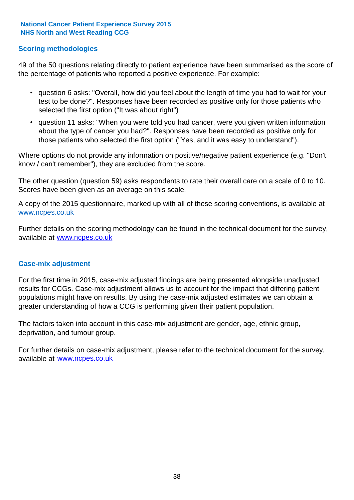## **Scoring methodologies**

49 of the 50 questions relating directly to patient experience have been summarised as the score of the percentage of patients who reported a positive experience. For example:

- question 6 asks: "Overall, how did you feel about the length of time you had to wait for your test to be done?". Responses have been recorded as positive only for those patients who selected the first option ("It was about right")
- question 11 asks: "When you were told you had cancer, were you given written information about the type of cancer you had?". Responses have been recorded as positive only for those patients who selected the first option ("Yes, and it was easy to understand").

Where options do not provide any information on positive/negative patient experience (e.g. "Don't know / can't remember"), they are excluded from the score.

The other question (question 59) asks respondents to rate their overall care on a scale of 0 to 10. Scores have been given as an average on this scale.

A copy of the 2015 questionnaire, marked up with all of these scoring conventions, is available at www.ncpes.co.uk

Further details on the scoring methodology can be found in the technical document for the survey, available at <u>www.ncpes.co.uk</u>

#### **Case-mix adjustment**

For the first time in 2015, case-mix adjusted findings are being presented alongside unadjusted results for CCGs. Case-mix adjustment allows us to account for the impact that differing patient populations might have on results. By using the case-mix adjusted estimates we can obtain a greater understanding of how a CCG is performing given their patient population.

The factors taken into account in this case-mix adjustment are gender, age, ethnic group, deprivation, and tumour group.

For further details on case-mix adjustment, please refer to the technical document for the survey, available at www.ncpes.co.uk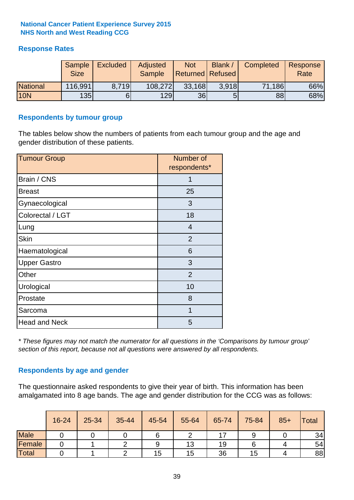# **Response Rates**

|                 | Sample<br><b>Size</b> | <b>Excluded</b> | Adjusted<br><b>Sample</b> | <b>Not</b><br><b>Returned Refused</b> | Blank / | Completed | Response<br>Rate |
|-----------------|-----------------------|-----------------|---------------------------|---------------------------------------|---------|-----------|------------------|
| <b>National</b> | 116,991               | 8.719           | 108,272                   | 33,168                                | 3.918   | 71,186    | 66%              |
| <b>10N</b>      | 135                   |                 | <b>129</b>                | 36                                    |         | 88        | 68%              |

#### **Respondents by tumour group**

The tables below show the numbers of patients from each tumour group and the age and gender distribution of these patients.

| <b>Tumour Group</b>  | Number of<br>respondents* |
|----------------------|---------------------------|
| Brain / CNS          | 1                         |
| <b>Breast</b>        | 25                        |
| Gynaecological       | 3                         |
| Colorectal / LGT     | 18                        |
| Lung                 | 4                         |
| <b>Skin</b>          | $\overline{2}$            |
| Haematological       | 6                         |
| <b>Upper Gastro</b>  | 3                         |
| Other                | $\overline{2}$            |
| Urological           | 10                        |
| Prostate             | 8                         |
| Sarcoma              | 1                         |
| <b>Head and Neck</b> | 5                         |

*\* These figures may not match the numerator for all questions in the 'Comparisons by tumour group' section of this report, because not all questions were answered by all respondents.*

# **Respondents by age and gender**

The questionnaire asked respondents to give their year of birth. This information has been amalgamated into 8 age bands. The age and gender distribution for the CCG was as follows:

|             | 16-24 | 25-34 | 35-44 | 45-54 | 55-64 | 65-74 | 75-84 | $85+$ | <b>Total</b> |
|-------------|-------|-------|-------|-------|-------|-------|-------|-------|--------------|
| <b>Male</b> |       |       |       |       |       |       |       |       | 34           |
| Female      |       |       |       | 9     | 13    | 19    |       |       | 54           |
| Total       |       |       |       | 15    | 15    | 36    | 15    |       | 88           |